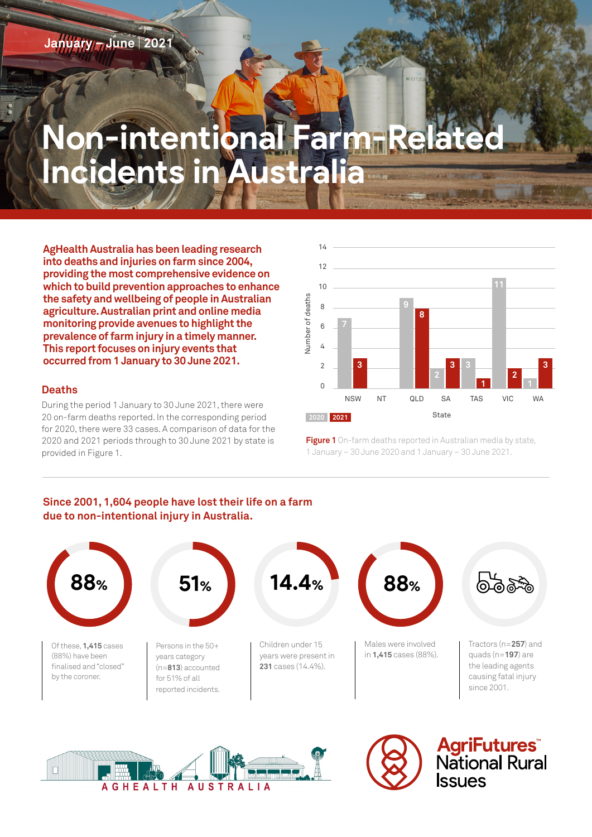# **Non-intentional Farm-Incidents in Australia**

**AgHealth Australia has been leading research into deaths and injuries on farm since 2004, providing the most comprehensive evidence on which to build prevention approaches to enhance the safety and wellbeing of people in Australian agriculture. Australian print and online media monitoring provide avenues to highlight the prevalence of farm injury in a timely manner. This report focuses on injury events that occurred from 1 January to 30 June 2021.**

## **Deaths**

During the period 1 January to 30 June 2021, there were 20 on-farm deaths reported. In the corresponding period for 2020, there were 33 cases. A comparison of data for the 2020 and 2021 periods through to 30 June 2021 by state is provided in Figure 1.



**Figure 1** On-farm deaths reported in Australian media by state, 1 January – 30 June 2020 and 1 January – 30 June 2021.

## **Since 2001, 1,604 people have lost their life on a farm due to non-intentional injury in Australia.**







**AgriFutures**<br>National Rural **SSUES**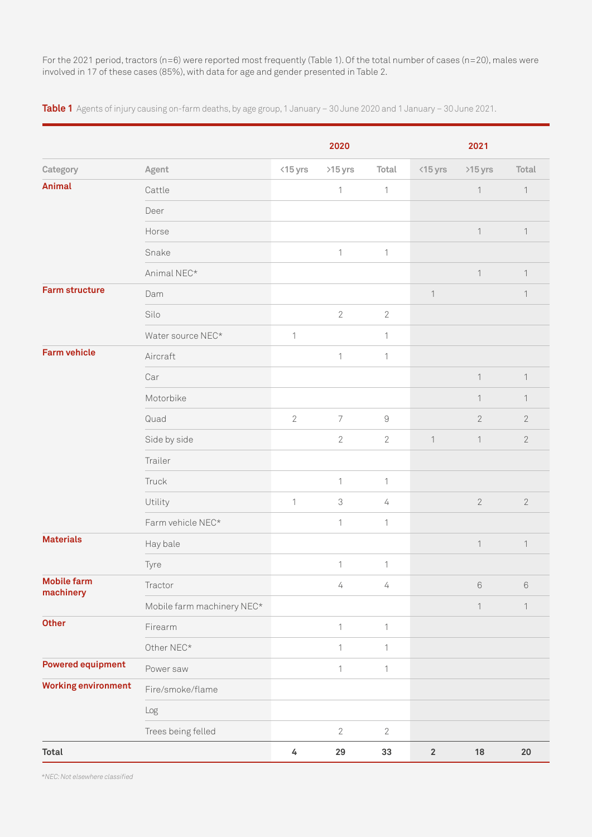For the 2021 period, tractors (n=6) were reported most frequently (Table 1). Of the total number of cases (n=20), males were involved in 17 of these cases (85%), with data for age and gender presented in Table 2.

**Table 1** Agents of injury causing on-farm deaths, by age group, 1 January – 30 June 2020 and 1 January – 30 June 2021.

|                                 |                            |                | 2020                       |              |                    | 2021           |                  |
|---------------------------------|----------------------------|----------------|----------------------------|--------------|--------------------|----------------|------------------|
| Category                        | Agent                      | $<$ 15 yrs     | >15 yrs                    | Total        | $\triangle$ 15 yrs | >15 yrs        | Total            |
| <b>Animal</b>                   | Cattle                     |                | $\mathbf{1}$               | $\mathbf 1$  |                    | $\mathbf 1$    | $\mathbf{1}$     |
|                                 | Deer                       |                |                            |              |                    |                |                  |
|                                 | Horse                      |                |                            |              |                    | $\mathbf 1$    | $\mathbf{1}$     |
|                                 | Snake                      |                | $\mathbf{1}$               | $\mathbf{1}$ |                    |                |                  |
|                                 | Animal NEC*                |                |                            |              |                    | $\mathbf{1}$   | 1                |
| <b>Farm structure</b>           | Dam                        |                |                            |              | $\mathbf{1}$       |                | 1                |
|                                 | Silo                       |                | $\overline{2}$             | $\mathbf{2}$ |                    |                |                  |
|                                 | Water source NEC*          | 1              |                            | 1            |                    |                |                  |
| <b>Farm vehicle</b>             | Aircraft                   |                | $\mathbf{1}$               | $\mathbf 1$  |                    |                |                  |
|                                 | Car                        |                |                            |              |                    | $\mathbf{1}$   | $\mathbf{1}$     |
|                                 | Motorbike                  |                |                            |              |                    | $\mathbf{1}$   | $\mathbf{1}$     |
|                                 | Quad                       | $\overline{2}$ | $\overline{7}$             | $\hbox{9}$   |                    | $\overline{2}$ | $\sqrt{2}$       |
|                                 | Side by side               |                | $\sqrt{2}$                 | $\sqrt{2}$   | $\mathbf{1}$       | $\mathbf 1$    | $\overline{2}$   |
|                                 | Trailer                    |                |                            |              |                    |                |                  |
|                                 | Truck                      |                | 1                          | $\mathbf{1}$ |                    |                |                  |
|                                 | Utility                    | $\mathbf{1}$   | $\ensuremath{\mathcal{S}}$ | 4            |                    | $\sqrt{2}$     | $\sqrt{2}$       |
|                                 | Farm vehicle NEC*          |                | 1                          | $\mathbf{1}$ |                    |                |                  |
| <b>Materials</b>                | Hay bale                   |                |                            |              |                    | $\mathbf 1$    | $\mathbf{1}$     |
|                                 | Tyre                       |                | $\mathbf{1}$               | $\mathbf 1$  |                    |                |                  |
| <b>Mobile farm</b><br>machinery | Tractor                    |                | $\sqrt{ }$                 | 4            |                    | $\mathbf 6$    | $\,6$            |
|                                 | Mobile farm machinery NEC* |                |                            |              |                    | $\mathbf 1$    | $\left( \right)$ |
| <b>Other</b>                    | Firearm                    |                | $\mathbf{1}$               | $\mathbf 1$  |                    |                |                  |
|                                 | Other NEC*                 |                | $\mathbf 1$                | $\mathbf{1}$ |                    |                |                  |
| <b>Powered equipment</b>        | Power saw                  |                | 1                          | $\mathbf{1}$ |                    |                |                  |
| <b>Working environment</b>      | Fire/smoke/flame           |                |                            |              |                    |                |                  |
|                                 | Log                        |                |                            |              |                    |                |                  |
|                                 | Trees being felled         |                | $\mathbf{2}$               | $\sqrt{2}$   |                    |                |                  |
| <b>Total</b>                    |                            | $\overline{4}$ | 29                         | 33           | $\mathbf 2$        | $18\,$         | $20\,$           |

\*NEC: Not elsewhere classified